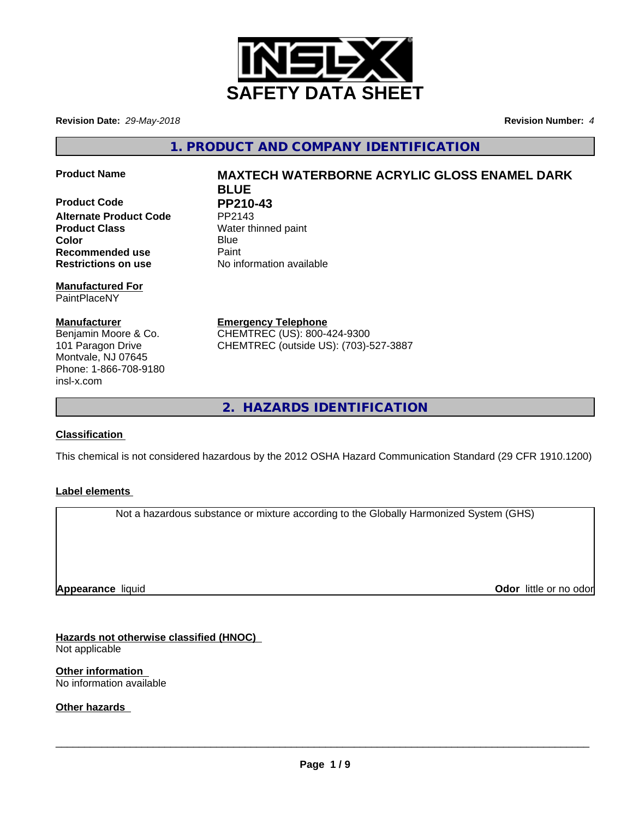

**Revision Date:** *29-May-2018* **Revision Number:** *4*

**1. PRODUCT AND COMPANY IDENTIFICATION**

**Product Code PP210-43**<br>Alternate Product Code PP2143 **Alternate Product Code Product Class** Water thinned paint **Color** Blue Blue **Recommended use** Paint **Restrictions on use** No information available

**Manufactured For** PaintPlaceNY

**Manufacturer** Benjamin Moore & Co. 101 Paragon Drive Montvale, NJ 07645 Phone: 1-866-708-9180 insl-x.com

**Product Name MAXTECH WATERBORNE ACRYLIC GLOSS ENAMEL DARK BLUE**

**Emergency Telephone** CHEMTREC (US): 800-424-9300 CHEMTREC (outside US): (703)-527-3887

**2. HAZARDS IDENTIFICATION**

## **Classification**

This chemical is not considered hazardous by the 2012 OSHA Hazard Communication Standard (29 CFR 1910.1200)

## **Label elements**

Not a hazardous substance or mixture according to the Globally Harmonized System (GHS)

**Appearance** liquid

**Odor** little or no odor

**Hazards not otherwise classified (HNOC)** Not applicable

**Other information** No information available

**Other hazards**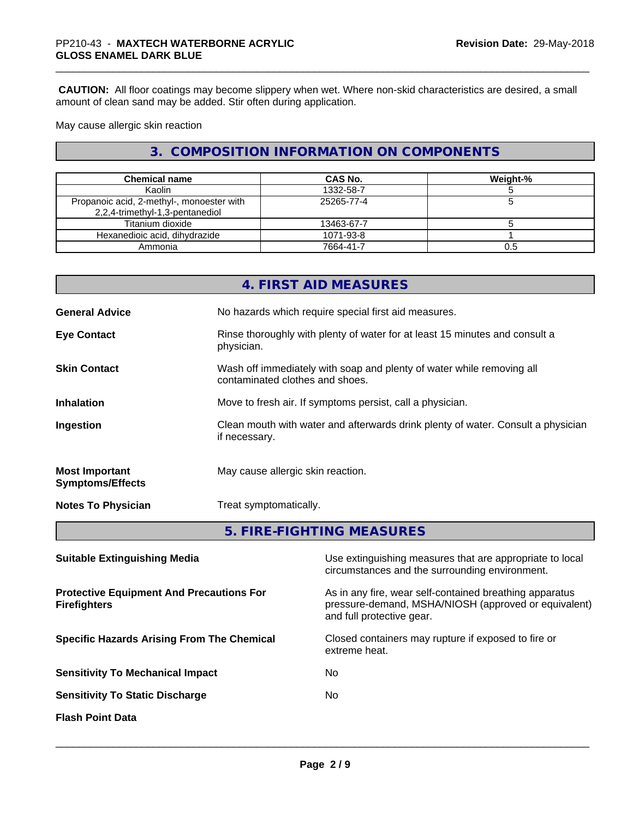**CAUTION:** All floor coatings may become slippery when wet. Where non-skid characteristics are desired, a small amount of clean sand may be added. Stir often during application.

May cause allergic skin reaction

# **3. COMPOSITION INFORMATION ON COMPONENTS**

| <b>Chemical name</b>                                                         | <b>CAS No.</b> | Weight-% |
|------------------------------------------------------------------------------|----------------|----------|
| Kaolin                                                                       | 1332-58-7      |          |
| Propanoic acid, 2-methyl-, monoester with<br>2,2,4-trimethyl-1,3-pentanediol | 25265-77-4     |          |
| Titanium dioxide                                                             | 13463-67-7     |          |
| Hexanedioic acid, dihydrazide                                                | 1071-93-8      |          |
| Ammonia                                                                      | 7664-41-7      | 0.5      |

|                                                  | 4. FIRST AID MEASURES                                                                                    |
|--------------------------------------------------|----------------------------------------------------------------------------------------------------------|
| <b>General Advice</b>                            | No hazards which require special first aid measures.                                                     |
| <b>Eye Contact</b>                               | Rinse thoroughly with plenty of water for at least 15 minutes and consult a<br>physician.                |
| <b>Skin Contact</b>                              | Wash off immediately with soap and plenty of water while removing all<br>contaminated clothes and shoes. |
| <b>Inhalation</b>                                | Move to fresh air. If symptoms persist, call a physician.                                                |
| Ingestion                                        | Clean mouth with water and afterwards drink plenty of water. Consult a physician<br>if necessary.        |
| <b>Most Important</b><br><b>Symptoms/Effects</b> | May cause allergic skin reaction.                                                                        |
| <b>Notes To Physician</b>                        | Treat symptomatically.                                                                                   |
|                                                  | 5. FIRE-FIGHTING MEASURES                                                                                |

| <b>Suitable Extinguishing Media</b>                                    | Use extinguishing measures that are appropriate to local<br>circumstances and the surrounding environment.                                   |
|------------------------------------------------------------------------|----------------------------------------------------------------------------------------------------------------------------------------------|
| <b>Protective Equipment And Precautions For</b><br><b>Firefighters</b> | As in any fire, wear self-contained breathing apparatus<br>pressure-demand, MSHA/NIOSH (approved or equivalent)<br>and full protective gear. |
| <b>Specific Hazards Arising From The Chemical</b>                      | Closed containers may rupture if exposed to fire or<br>extreme heat.                                                                         |
| <b>Sensitivity To Mechanical Impact</b>                                | No.                                                                                                                                          |
| <b>Sensitivity To Static Discharge</b>                                 | No.                                                                                                                                          |
| <b>Flash Point Data</b>                                                |                                                                                                                                              |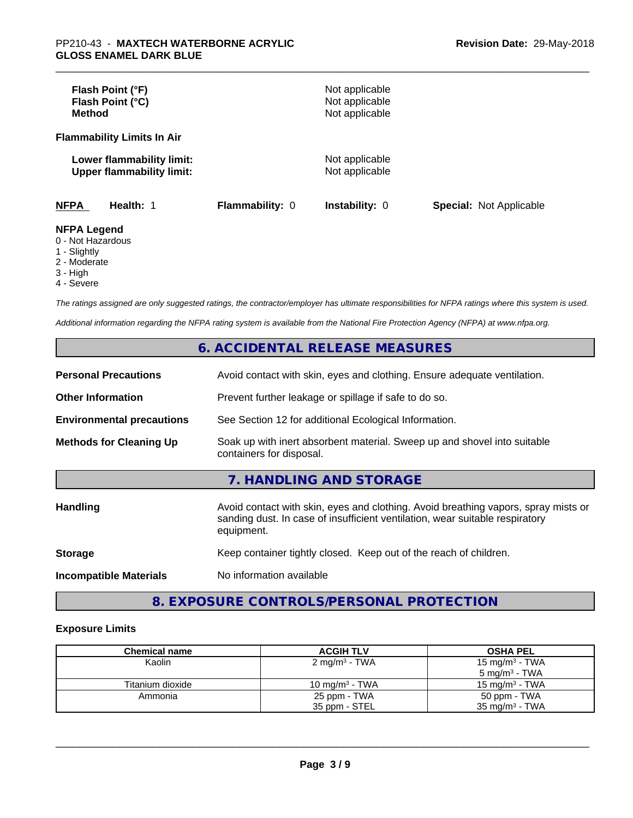| Flash Point (°F)<br>Flash Point (°C)<br><b>Method</b>         |                        | Not applicable<br>Not applicable<br>Not applicable |                                |
|---------------------------------------------------------------|------------------------|----------------------------------------------------|--------------------------------|
| <b>Flammability Limits In Air</b>                             |                        |                                                    |                                |
| Lower flammability limit:<br><b>Upper flammability limit:</b> |                        | Not applicable<br>Not applicable                   |                                |
| <b>NFPA</b><br>Health: 1                                      | <b>Flammability: 0</b> | <b>Instability: 0</b>                              | <b>Special: Not Applicable</b> |
| <b>NFPA Legend</b><br>0 - Not Hazardous<br>1 Clinhthy         |                        |                                                    |                                |

#### 1 - Slightly

- 2 Moderate
- 3 High
- 
- 4 Severe

*The ratings assigned are only suggested ratings, the contractor/employer has ultimate responsibilities for NFPA ratings where this system is used.*

*Additional information regarding the NFPA rating system is available from the National Fire Protection Agency (NFPA) at www.nfpa.org.*

# **6. ACCIDENTAL RELEASE MEASURES**

| <b>Personal Precautions</b>      | Avoid contact with skin, eyes and clothing. Ensure adequate ventilation.                                                                                                         |
|----------------------------------|----------------------------------------------------------------------------------------------------------------------------------------------------------------------------------|
| <b>Other Information</b>         | Prevent further leakage or spillage if safe to do so.                                                                                                                            |
| <b>Environmental precautions</b> | See Section 12 for additional Ecological Information.                                                                                                                            |
| <b>Methods for Cleaning Up</b>   | Soak up with inert absorbent material. Sweep up and shovel into suitable<br>containers for disposal.                                                                             |
|                                  | 7. HANDLING AND STORAGE                                                                                                                                                          |
| Handling                         | Avoid contact with skin, eyes and clothing. Avoid breathing vapors, spray mists or<br>sanding dust. In case of insufficient ventilation, wear suitable respiratory<br>equipment. |
| <b>Storage</b>                   | Keep container tightly closed. Keep out of the reach of children.                                                                                                                |
| <b>Incompatible Materials</b>    | No information available                                                                                                                                                         |

# **8. EXPOSURE CONTROLS/PERSONAL PROTECTION**

### **Exposure Limits**

| <b>Chemical name</b> | <b>ACGIH TLV</b>          | <b>OSHA PEL</b>            |
|----------------------|---------------------------|----------------------------|
| Kaolin               | 2 mg/m <sup>3</sup> - TWA | 15 mg/m <sup>3</sup> - TWA |
|                      |                           | $5 \text{ ma/m}^3$ - TWA   |
| Titanium dioxide     | 10 mg/m $3$ - TWA         | $15 \text{ mg/m}^3$ - TWA  |
| Ammonia              | 25 ppm - TWA              | 50 ppm - TWA               |
|                      | 35 ppm - STEL             | $35 \text{ mg/m}^3$ - TWA  |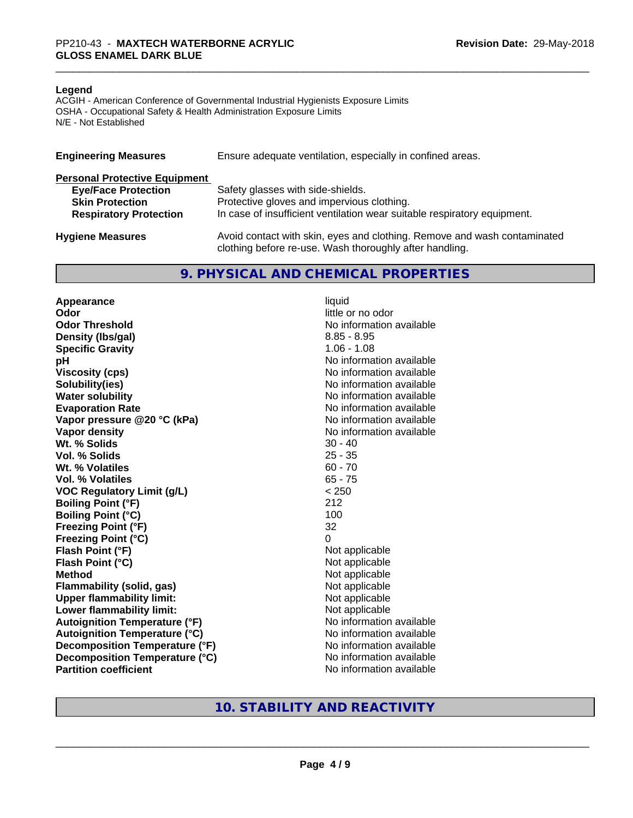#### **Legend**

ACGIH - American Conference of Governmental Industrial Hygienists Exposure Limits OSHA - Occupational Safety & Health Administration Exposure Limits N/E - Not Established

| <b>Engineering Measures</b>          | Ensure adequate ventilation, especially in confined areas.                                                                          |
|--------------------------------------|-------------------------------------------------------------------------------------------------------------------------------------|
| <b>Personal Protective Equipment</b> |                                                                                                                                     |
| <b>Eye/Face Protection</b>           | Safety glasses with side-shields.                                                                                                   |
| <b>Skin Protection</b>               | Protective gloves and impervious clothing.                                                                                          |
| <b>Respiratory Protection</b>        | In case of insufficient ventilation wear suitable respiratory equipment.                                                            |
| <b>Hygiene Measures</b>              | Avoid contact with skin, eyes and clothing. Remove and wash contaminated<br>clothing before re-use. Wash thoroughly after handling. |

### **9. PHYSICAL AND CHEMICAL PROPERTIES**

**Appearance** liquid **Odor** little or no odor **Odor Threshold No information available No information available Density (lbs/gal)** 8.85 - 8.95 **Specific Gravity** 1.06 - 1.08 **pH pH**  $\blacksquare$ **Viscosity (cps)** No information available **Solubility(ies)** No information available **Water solubility** No information available **Evaporation Rate No information available No information available Vapor pressure @20 °C (kPa)** No information available **Vapor density**<br> **We Solids**<br>
We Solids
20 - 40 Wt. % Solids **Vol. % Solids** 25 - 35 **Wt.** % Volatiles 60 - 70 **Vol. % Volatiles** 65 - 75 **VOC Regulatory Limit (g/L)** < 250 **Boiling Point (°F)** 212 **Boiling Point (°C)** 100 **Freezing Point (°F)** 32 **Freezing Point (°C)** 0 **Flash Point (°F)**<br> **Flash Point (°C)**<br> **Flash Point (°C)**<br> **Not** applicable<br>
Not applicable **Flash Point (°C)**<br>Method **Flammability (solid, gas)**<br> **Upper flammability limit:**<br>
Upper flammability limit: **Upper flammability limit:**<br> **Lower flammability limit:** Not applicable Not applicable **Lower flammability limit: Autoignition Temperature (°F)** No information available **Autoignition Temperature (°C)** No information available **Decomposition Temperature (°F)** No information available **Decomposition Temperature (°C)** No information available **Partition coefficient** No information available

**Not applicable**<br>Not applicable

## **10. STABILITY AND REACTIVITY**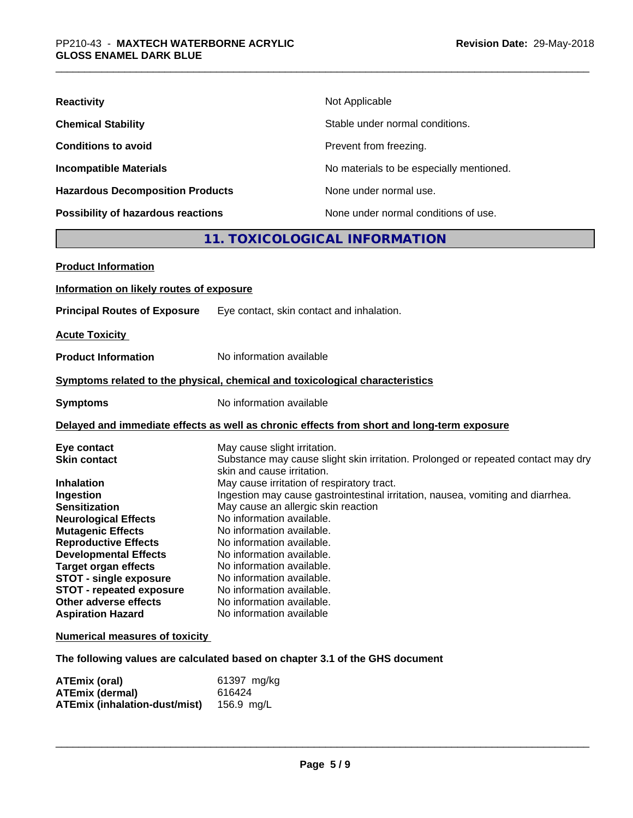| <b>Reactivity</b>                         | Not Applicable                           |
|-------------------------------------------|------------------------------------------|
| <b>Chemical Stability</b>                 | Stable under normal conditions.          |
| <b>Conditions to avoid</b>                | Prevent from freezing.                   |
| <b>Incompatible Materials</b>             | No materials to be especially mentioned. |
| <b>Hazardous Decomposition Products</b>   | None under normal use.                   |
| <b>Possibility of hazardous reactions</b> | None under normal conditions of use.     |

# **11. TOXICOLOGICAL INFORMATION**

| <b>Product Information</b>               |                                                                                                                 |
|------------------------------------------|-----------------------------------------------------------------------------------------------------------------|
| Information on likely routes of exposure |                                                                                                                 |
| <b>Principal Routes of Exposure</b>      | Eye contact, skin contact and inhalation.                                                                       |
| <b>Acute Toxicity</b>                    |                                                                                                                 |
| <b>Product Information</b>               | No information available                                                                                        |
|                                          | Symptoms related to the physical, chemical and toxicological characteristics                                    |
| <b>Symptoms</b>                          | No information available                                                                                        |
|                                          | Delayed and immediate effects as well as chronic effects from short and long-term exposure                      |
| Eye contact                              | May cause slight irritation.                                                                                    |
| <b>Skin contact</b>                      | Substance may cause slight skin irritation. Prolonged or repeated contact may dry<br>skin and cause irritation. |
| <b>Inhalation</b>                        | May cause irritation of respiratory tract.                                                                      |
| Ingestion                                | Ingestion may cause gastrointestinal irritation, nausea, vomiting and diarrhea.                                 |
| <b>Sensitization</b>                     | May cause an allergic skin reaction                                                                             |
| <b>Neurological Effects</b>              | No information available.                                                                                       |
| <b>Mutagenic Effects</b>                 | No information available.                                                                                       |
| <b>Reproductive Effects</b>              | No information available.                                                                                       |
| <b>Developmental Effects</b>             | No information available.                                                                                       |
| <b>Target organ effects</b>              | No information available.                                                                                       |
| <b>STOT - single exposure</b>            | No information available.                                                                                       |
| <b>STOT - repeated exposure</b>          | No information available.                                                                                       |
| Other adverse effects                    | No information available.                                                                                       |
| <b>Aspiration Hazard</b>                 | No information available                                                                                        |
| <b>Numerical measures of toxicity</b>    |                                                                                                                 |

**The following values are calculated based on chapter 3.1 of the GHS document**

| <b>ATEmix (oral)</b>          | 61397 mg/kg |
|-------------------------------|-------------|
| <b>ATEmix (dermal)</b>        | 616424      |
| ATEmix (inhalation-dust/mist) | 156.9 mg/L  |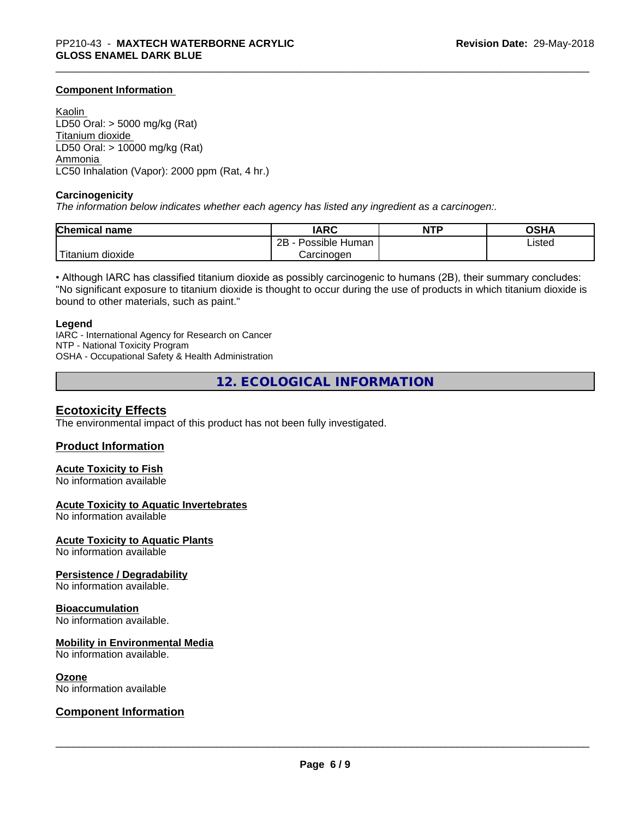### **Component Information**

Kaolin LD50 Oral: > 5000 mg/kg (Rat) Titanium dioxide LD50 Oral: > 10000 mg/kg (Rat) Ammonia LC50 Inhalation (Vapor): 2000 ppm (Rat, 4 hr.)

#### **Carcinogenicity**

*The information below indicateswhether each agency has listed any ingredient as a carcinogen:.*

| <b>Chemical name</b>    | <b>IARC</b>          | <b>NTP</b> | <b>OSHA</b> |
|-------------------------|----------------------|------------|-------------|
|                         | 2B<br>Possible Human |            | Listed      |
| 'Titanium<br>.n dioxide | Carcinoɑen           |            |             |

• Although IARC has classified titanium dioxide as possibly carcinogenic to humans (2B), their summary concludes: "No significant exposure to titanium dioxide is thought to occur during the use of products in which titanium dioxide is bound to other materials, such as paint."

#### **Legend**

IARC - International Agency for Research on Cancer NTP - National Toxicity Program OSHA - Occupational Safety & Health Administration

**12. ECOLOGICAL INFORMATION**

### **Ecotoxicity Effects**

The environmental impact of this product has not been fully investigated.

### **Product Information**

## **Acute Toxicity to Fish**

No information available

### **Acute Toxicity to Aquatic Invertebrates**

No information available

**Acute Toxicity to Aquatic Plants**

No information available

### **Persistence / Degradability**

No information available.

### **Bioaccumulation**

No information available.

### **Mobility in Environmental Media**

No information available.

#### **Ozone**

No information available

### **Component Information**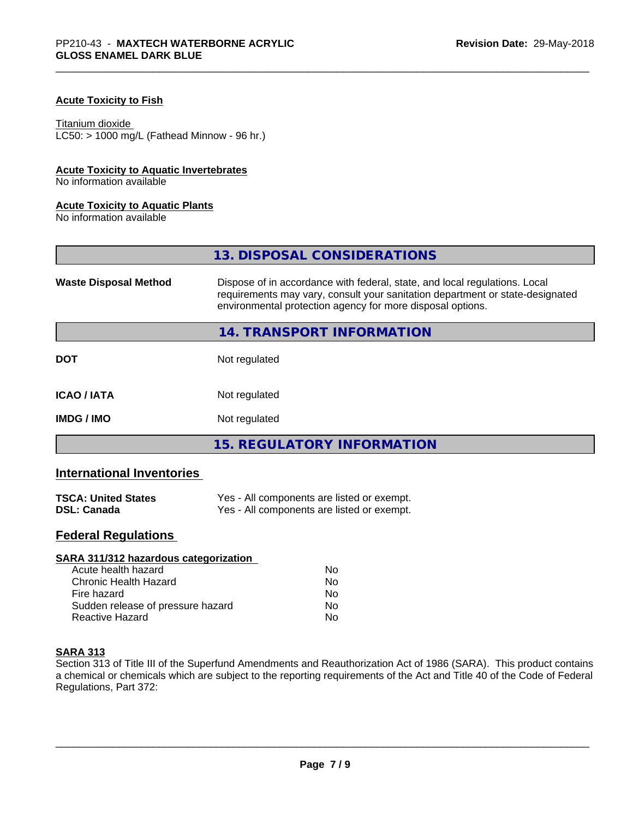### **Acute Toxicity to Fish**

#### Titanium dioxide

 $LC50:$  > 1000 mg/L (Fathead Minnow - 96 hr.)

### **Acute Toxicity to Aquatic Invertebrates**

No information available

### **Acute Toxicity to Aquatic Plants**

No information available

|                              | 13. DISPOSAL CONSIDERATIONS                                                                                                                                                                                               |
|------------------------------|---------------------------------------------------------------------------------------------------------------------------------------------------------------------------------------------------------------------------|
| <b>Waste Disposal Method</b> | Dispose of in accordance with federal, state, and local regulations. Local<br>requirements may vary, consult your sanitation department or state-designated<br>environmental protection agency for more disposal options. |
|                              | 14. TRANSPORT INFORMATION                                                                                                                                                                                                 |
| <b>DOT</b>                   | Not regulated                                                                                                                                                                                                             |
| <b>ICAO/IATA</b>             | Not regulated                                                                                                                                                                                                             |
| <b>IMDG / IMO</b>            | Not regulated                                                                                                                                                                                                             |
|                              | <b>15. REGULATORY INFORMATION</b>                                                                                                                                                                                         |

# **International Inventories**

| <b>TSCA: United States</b> | Yes - All components are listed or exempt. |
|----------------------------|--------------------------------------------|
| <b>DSL: Canada</b>         | Yes - All components are listed or exempt. |

# **Federal Regulations**

| SARA 311/312 hazardous categorization |    |  |
|---------------------------------------|----|--|
| Acute health hazard                   | Nο |  |
| Chronic Health Hazard                 | No |  |
| Fire hazard                           | Nο |  |
| Sudden release of pressure hazard     | No |  |
| Reactive Hazard                       | No |  |

### **SARA 313**

Section 313 of Title III of the Superfund Amendments and Reauthorization Act of 1986 (SARA). This product contains a chemical or chemicals which are subject to the reporting requirements of the Act and Title 40 of the Code of Federal Regulations, Part 372: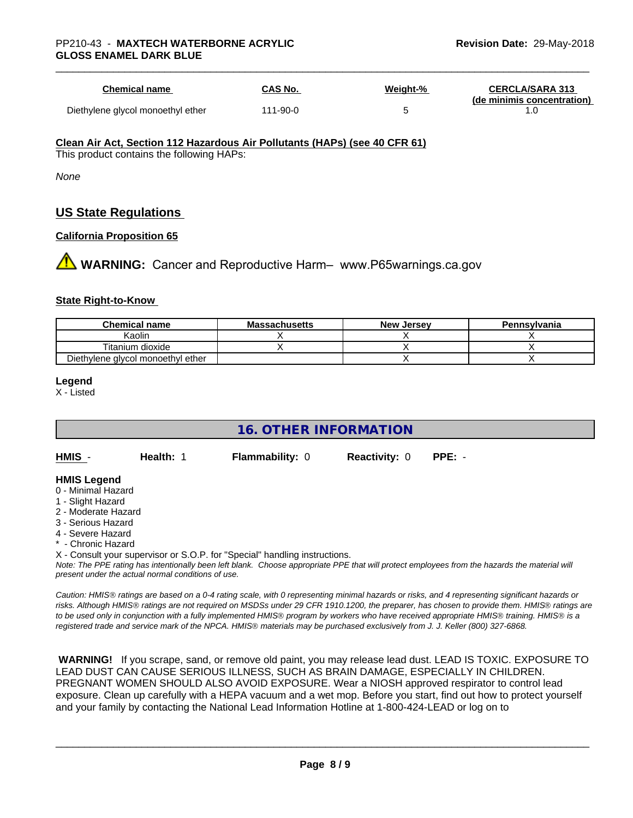| <b>Chemical name</b>              | <b>CAS No.</b> | <u>Weight-%</u> | <b>CERCLA/SARA 313</b><br>(de minimis concentration) |
|-----------------------------------|----------------|-----------------|------------------------------------------------------|
| Diethylene glycol monoethyl ether | 111-90-0       |                 |                                                      |

#### **Clean Air Act,Section 112 Hazardous Air Pollutants (HAPs) (see 40 CFR 61)**

This product contains the following HAPs:

*None*

# **US State Regulations**

### **California Proposition 65**

**1 WARNING:** Cancer and Reproductive Harm– www.P65warnings.ca.gov

### **State Right-to-Know**

| <b>Chemical name</b>              | <b>Massachusetts</b> | <b>New Jersey</b> | Pennsylvania |
|-----------------------------------|----------------------|-------------------|--------------|
| Kaolin                            |                      |                   |              |
| Titanium dioxide                  |                      |                   |              |
| Diethylene glycol monoethyl ether |                      |                   |              |

#### **Legend**

X - Listed

## **16. OTHER INFORMATION**

**HMIS** - **Health:** 1 **Flammability:** 0 **Reactivity:** 0 **PPE:** -

### **HMIS Legend**

- 0 Minimal Hazard
- 1 Slight Hazard
- 2 Moderate Hazard
- 3 Serious Hazard
- 4 Severe Hazard
- **Chronic Hazard**
- X Consult your supervisor or S.O.P. for "Special" handling instructions.

*Note: The PPE rating has intentionally been left blank. Choose appropriate PPE that will protect employees from the hazards the material will present under the actual normal conditions of use.*

*Caution: HMISÒ ratings are based on a 0-4 rating scale, with 0 representing minimal hazards or risks, and 4 representing significant hazards or risks. Although HMISÒ ratings are not required on MSDSs under 29 CFR 1910.1200, the preparer, has chosen to provide them. HMISÒ ratings are to be used only in conjunction with a fully implemented HMISÒ program by workers who have received appropriate HMISÒ training. HMISÒ is a registered trade and service mark of the NPCA. HMISÒ materials may be purchased exclusively from J. J. Keller (800) 327-6868.*

 **WARNING!** If you scrape, sand, or remove old paint, you may release lead dust. LEAD IS TOXIC. EXPOSURE TO LEAD DUST CAN CAUSE SERIOUS ILLNESS, SUCH AS BRAIN DAMAGE, ESPECIALLY IN CHILDREN. PREGNANT WOMEN SHOULD ALSO AVOID EXPOSURE.Wear a NIOSH approved respirator to control lead exposure. Clean up carefully with a HEPA vacuum and a wet mop. Before you start, find out how to protect yourself and your family by contacting the National Lead Information Hotline at 1-800-424-LEAD or log on to